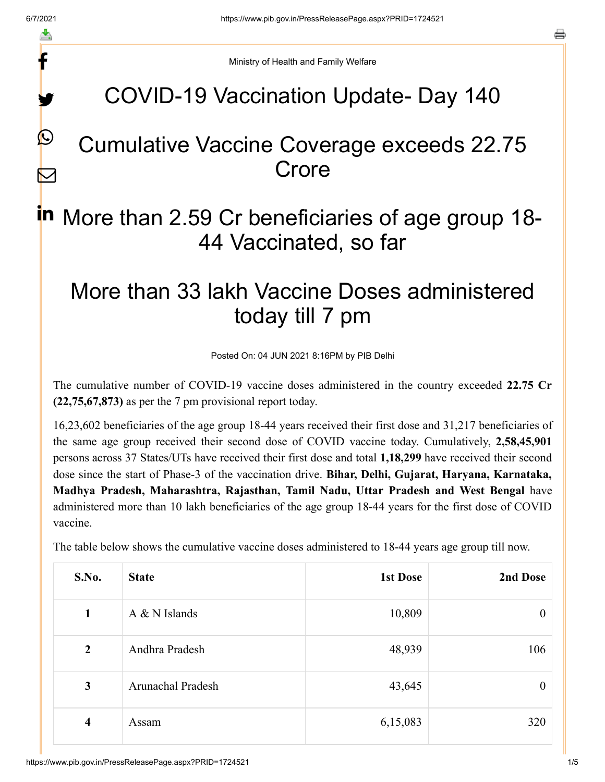f

y.

 $\boldsymbol{\mathcal{Q}}$ 

 $\boldsymbol{\nabla}$ 

a

Ministry of Health and Family Welfare

### COVID-19 Vaccination Update- Day 140

### Cumulative Vaccine Coverage exceeds 22.75 Crore

# in More than 2.59 Cr beneficiaries of age group 18-44 Vaccinated, so far

## More than 33 lakh Vaccine Doses administered today till 7 pm

Posted On: 04 JUN 2021 8:16PM by PIB Delhi

The cumulative number of COVID-19 vaccine doses administered in the country exceeded **22.75 Cr (22,75,67,873)** as per the 7 pm provisional report today.

16,23,602 beneficiaries of the age group 18-44 years received their first dose and 31,217 beneficiaries of the same age group received their second dose of COVID vaccine today. Cumulatively, **2,58,45,901** persons across 37 States/UTs have received their first dose and total **1,18,299** have received their second dose since the start of Phase-3 of the vaccination drive. **Bihar, Delhi, Gujarat, Haryana, Karnataka, Madhya Pradesh, Maharashtra, Rajasthan, Tamil Nadu, Uttar Pradesh and West Bengal** have administered more than 10 lakh beneficiaries of the age group 18-44 years for the first dose of COVID vaccine.

The table below shows the cumulative vaccine doses administered to 18-44 years age group till now.

| S.No.          | <b>State</b>      | <b>1st Dose</b> | 2nd Dose         |
|----------------|-------------------|-----------------|------------------|
| $\mathbf{1}$   | $A & N$ Islands   | 10,809          | $\boldsymbol{0}$ |
| $\overline{2}$ | Andhra Pradesh    | 48,939          | 106              |
| 3              | Arunachal Pradesh | 43,645          | $\theta$         |
| 4              | Assam             | 6,15,083        | 320              |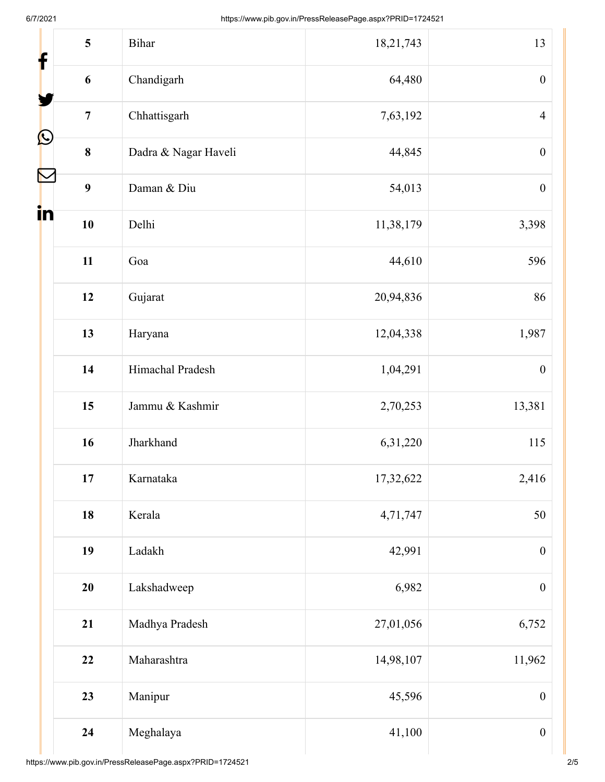| 5<br>f                        | Bihar                | 18,21,743 | 13               |
|-------------------------------|----------------------|-----------|------------------|
| $\boldsymbol{6}$              | Chandigarh           | 64,480    | $\boldsymbol{0}$ |
| $\overline{7}$                | Chhattisgarh         | 7,63,192  | $\overline{4}$   |
| $\mathbf{\Omega}$<br>$\bf{8}$ | Dadra & Nagar Haveli | 44,845    | $\boldsymbol{0}$ |
| 9                             | Daman & Diu          | 54,013    | $\boldsymbol{0}$ |
| in<br>10                      | Delhi                | 11,38,179 | 3,398            |
| 11                            | Goa                  | 44,610    | 596              |
| 12                            | Gujarat              | 20,94,836 | 86               |
| 13                            | Haryana              | 12,04,338 | 1,987            |
| 14                            | Himachal Pradesh     | 1,04,291  | $\boldsymbol{0}$ |
| 15                            | Jammu & Kashmir      | 2,70,253  | 13,381           |
| 16                            | Jharkhand            | 6,31,220  | 115              |
| 17                            | Karnataka            | 17,32,622 | 2,416            |
| 18                            | Kerala               | 4,71,747  | 50               |
| 19                            | Ladakh               | 42,991    | $\boldsymbol{0}$ |
| 20                            | Lakshadweep          | 6,982     | $\boldsymbol{0}$ |
| 21                            | Madhya Pradesh       | 27,01,056 | 6,752            |
| 22                            | Maharashtra          | 14,98,107 | 11,962           |
| 23                            | Manipur              | 45,596    | $\boldsymbol{0}$ |
| 24                            | Meghalaya            | 41,100    | $\boldsymbol{0}$ |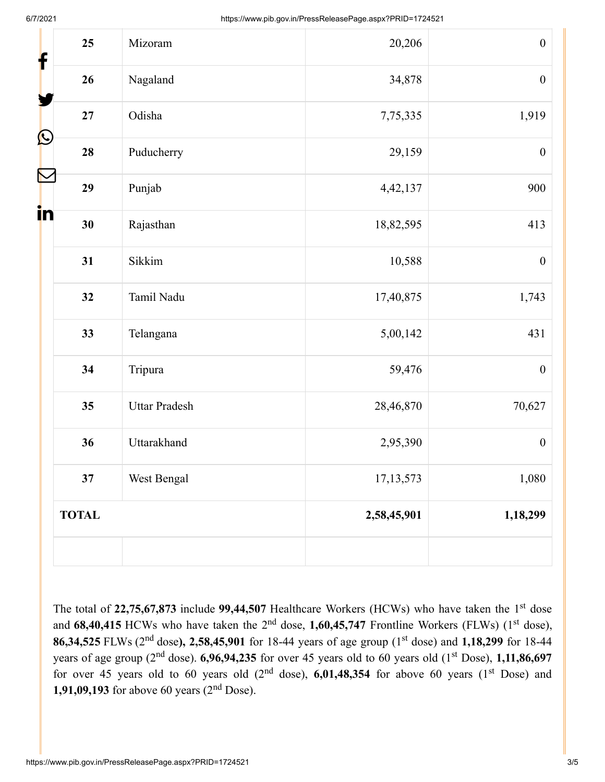| 25<br>f                    | Mizoram              | 20,206      | $\boldsymbol{0}$ |
|----------------------------|----------------------|-------------|------------------|
| 26                         | Nagaland             | 34,878      | $\boldsymbol{0}$ |
| 27                         | Odisha               | 7,75,335    | 1,919            |
| $\bf \Omega$<br>28         | Puducherry           | 29,159      | $\boldsymbol{0}$ |
| $\color{red} \nabla$<br>29 | Punjab               | 4,42,137    | 900              |
| in<br>30                   | Rajasthan            | 18,82,595   | 413              |
| 31                         | Sikkim               | 10,588      | $\boldsymbol{0}$ |
| 32                         | Tamil Nadu           | 17,40,875   | 1,743            |
| 33                         | Telangana            | 5,00,142    | 431              |
| 34                         | Tripura              | 59,476      | $\boldsymbol{0}$ |
| 35                         | <b>Uttar Pradesh</b> | 28,46,870   | 70,627           |
| 36                         | Uttarakhand          | 2,95,390    | $\boldsymbol{0}$ |
| 37                         | West Bengal          | 17, 13, 573 | 1,080            |
| <b>TOTAL</b>               |                      | 2,58,45,901 | 1,18,299         |
|                            |                      |             |                  |

The total of 22,75,67,873 include 99,44,507 Healthcare Workers (HCWs) who have taken the 1<sup>st</sup> dose and 68,40,415 HCWs who have taken the 2<sup>nd</sup> dose, 1,60,45,747 Frontline Workers (FLWs) (1<sup>st</sup> dose), 86,34,525 FLWs (2<sup>nd</sup> dose), 2,58,45,901 for 18-44 years of age group (1<sup>st</sup> dose) and 1,18,299 for 18-44 years of age group (2<sup>nd</sup> dose). **6,96,94,235** for over 45 years old to 60 years old (1<sup>st</sup> Dose), 1,11,86,697 for over 45 years old to 60 years old  $(2<sup>nd</sup> dose)$ , 6,01,48,354 for above 60 years  $(1<sup>st</sup> Does)$  and **1,91,09,193** for above 60 years  $(2^{nd}$  Dose).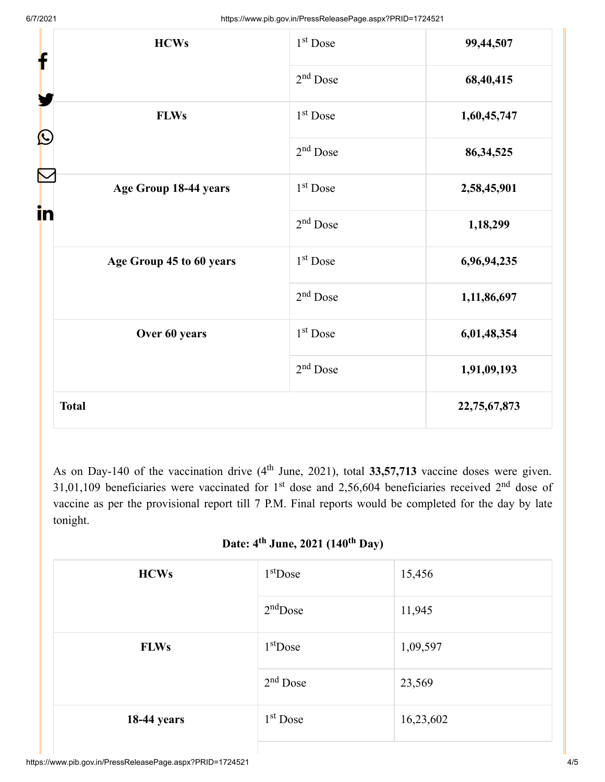| <b>HCWs</b><br>f            | 1 <sup>st</sup> Dose | 99,44,507    |
|-----------------------------|----------------------|--------------|
|                             | $2nd$ Dose           | 68,40,415    |
| <b>FLWs</b><br>$\bf \Omega$ | 1 <sup>st</sup> Dose | 1,60,45,747  |
|                             | $2nd$ Dose           | 86, 34, 525  |
| Age Group 18-44 years<br>in | 1 <sup>st</sup> Dose | 2,58,45,901  |
|                             | $2nd$ Dose           | 1,18,299     |
| Age Group 45 to 60 years    | 1 <sup>st</sup> Dose | 6,96,94,235  |
|                             | $2nd$ Dose           | 1,11,86,697  |
| Over 60 years               | 1 <sup>st</sup> Dose | 6,01,48,354  |
|                             | $2nd$ Dose           | 1,91,09,193  |
| <b>Total</b>                |                      | 22,75,67,873 |

As on Day-140 of the vaccination drive (4<sup>th</sup> June, 2021), total 33,57,713 vaccine doses were given. 31,01,109 beneficiaries were vaccinated for 1<sup>st</sup> dose and 2,56,604 beneficiaries received 2<sup>nd</sup> dose of vaccine as per the provisional report till 7 P.M. Final reports would be completed for the day by late tonight.

Date: 4<sup>th</sup> June, 2021 (140<sup>th</sup> Day)

| <b>HCWs</b>        | $1st$ Dose | 15,456    |
|--------------------|------------|-----------|
|                    | $2nd$ Dose | 11,945    |
| <b>FLWs</b>        | $1st$ Dose | 1,09,597  |
|                    | $2nd$ Dose | 23,569    |
| <b>18-44 years</b> | $1st$ Dose | 16,23,602 |